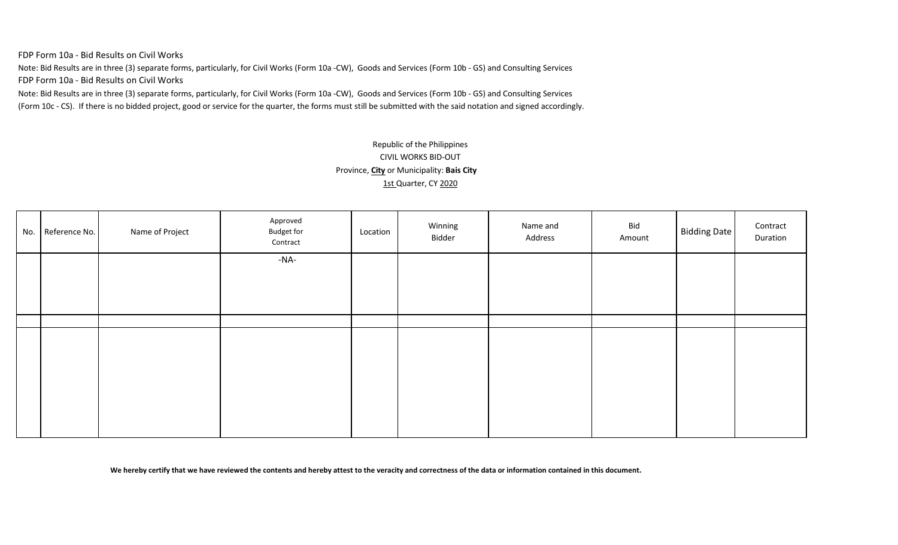FDP Form 10a - Bid Results on Civil Works

Note: Bid Results are in three (3) separate forms, particularly, for Civil Works (Form 10a -CW), Goods and Services (Form 10b - GS) and Consulting Services FDP Form 10a - Bid Results on Civil Works

Note: Bid Results are in three (3) separate forms, particularly, for Civil Works (Form 10a -CW), Goods and Services (Form 10b - GS) and Consulting Services (Form 10c - CS). If there is no bidded project, good or service for the quarter, the forms must still be submitted with the said notation and signed accordingly.

# Republic of the Philippines CIVIL WORKS BID-OUT Province, **City** or Municipality: **Bais City** 1st Quarter, CY 2020

| No. | Reference No. | Name of Project | Approved<br><b>Budget for</b><br>Contract | Location | Winning<br>Bidder | Name and<br>Address | Bid<br>Amount | <b>Bidding Date</b> | Contract<br>Duration |
|-----|---------------|-----------------|-------------------------------------------|----------|-------------------|---------------------|---------------|---------------------|----------------------|
|     |               |                 | -NA-                                      |          |                   |                     |               |                     |                      |
|     |               |                 |                                           |          |                   |                     |               |                     |                      |
|     |               |                 |                                           |          |                   |                     |               |                     |                      |
|     |               |                 |                                           |          |                   |                     |               |                     |                      |
|     |               |                 |                                           |          |                   |                     |               |                     |                      |
|     |               |                 |                                           |          |                   |                     |               |                     |                      |
|     |               |                 |                                           |          |                   |                     |               |                     |                      |
|     |               |                 |                                           |          |                   |                     |               |                     |                      |
|     |               |                 |                                           |          |                   |                     |               |                     |                      |
|     |               |                 |                                           |          |                   |                     |               |                     |                      |
|     |               |                 |                                           |          |                   |                     |               |                     |                      |
|     |               |                 |                                           |          |                   |                     |               |                     |                      |

**We hereby certify that we have reviewed the contents and hereby attest to the veracity and correctness of the data or information contained in this document.**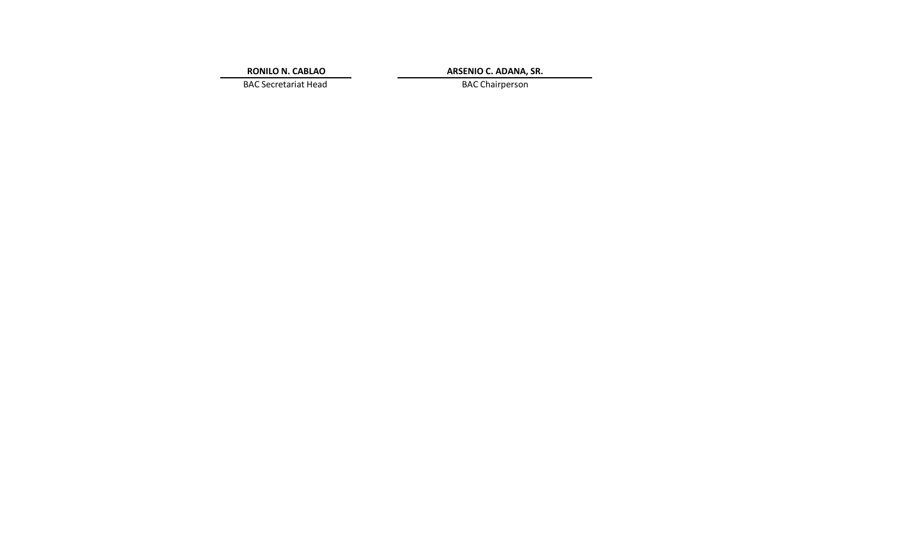**RONILO N. CABLAO**

**ARSENIO C. ADANA, SR.**

BAC Secretariat Head BAC Chairperson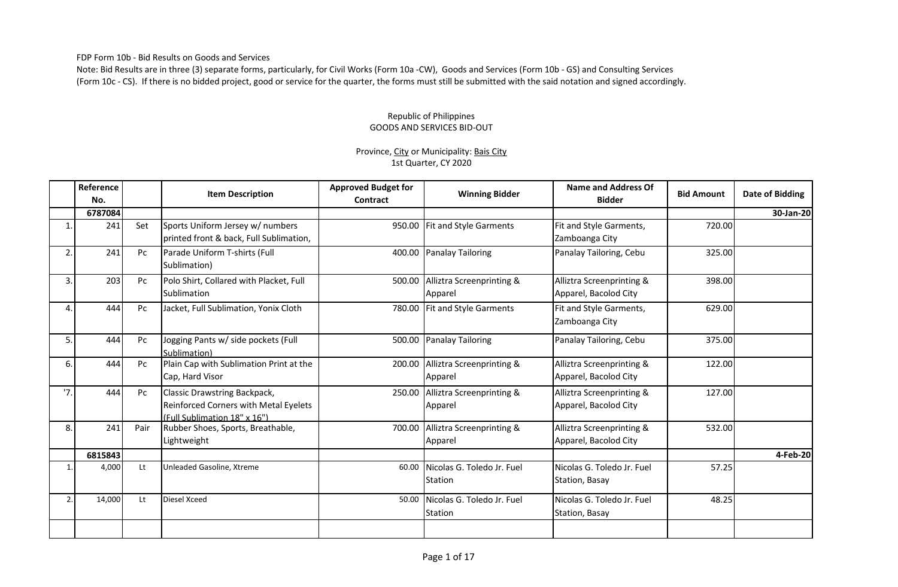FDP Form 10b - Bid Results on Goods and Services

Note: Bid Results are in three (3) separate forms, particularly, for Civil Works (Form 10a -CW), Goods and Services (Form 10b - GS) and Consulting Services (Form 10c - CS). If there is no bidded project, good or service for the quarter, the forms must still be submitted with the said notation and signed accordingly.

#### Republic of Philippines GOODS AND SERVICES BID-OUT

### Province, City or Municipality: Bais City 1st Quarter, CY 2020

|                | Reference<br>No. |      | <b>Item Description</b>                                                                               | <b>Approved Budget for</b><br>Contract | <b>Winning Bidder</b>                 | Name and Address Of<br><b>Bidder</b>               | <b>Bid Amount</b> | Date of Bidding |
|----------------|------------------|------|-------------------------------------------------------------------------------------------------------|----------------------------------------|---------------------------------------|----------------------------------------------------|-------------------|-----------------|
|                | 6787084          |      |                                                                                                       |                                        |                                       |                                                    |                   | 30-Jan-20       |
|                | 241              | Set  | Sports Uniform Jersey w/ numbers<br>printed front & back, Full Sublimation,                           |                                        | 950.00 Fit and Style Garments         | Fit and Style Garments,<br>Zamboanga City          | 720.00            |                 |
| 2.             | 241              | Pc   | Parade Uniform T-shirts (Full<br>Sublimation)                                                         | 400.00                                 | <b>Panalay Tailoring</b>              | Panalay Tailoring, Cebu                            | 325.00            |                 |
| 3.             | 203              | Pc   | Polo Shirt, Collared with Placket, Full<br><b>Sublimation</b>                                         | 500.00                                 | Alliztra Screenprinting &<br>Apparel  | Alliztra Screenprinting &<br>Apparel, Bacolod City | 398.00            |                 |
| $\overline{4}$ | 444              | Pc   | Jacket, Full Sublimation, Yonix Cloth                                                                 | 780.00                                 | <b>Fit and Style Garments</b>         | Fit and Style Garments,<br>Zamboanga City          | 629.00            |                 |
| 5.             | 444              | Pc   | Jogging Pants w/ side pockets (Full<br>Sublimation)                                                   | 500.00                                 | <b>Panalay Tailoring</b>              | Panalay Tailoring, Cebu                            | 375.00            |                 |
| 6.             | 444              | Pc   | Plain Cap with Sublimation Print at the<br>Cap, Hard Visor                                            | 200.00                                 | Alliztra Screenprinting &<br>Apparel  | Alliztra Screenprinting &<br>Apparel, Bacolod City | 122.00            |                 |
| '7.            | 444              | Pc   | Classic Drawstring Backpack,<br>Reinforced Corners with Metal Eyelets<br>(Full Sublimation 18" x 16") | 250.00                                 | Alliztra Screenprinting &<br>Apparel  | Alliztra Screenprinting &<br>Apparel, Bacolod City | 127.00            |                 |
| 8.             | 241              | Pair | Rubber Shoes, Sports, Breathable,<br>Lightweight                                                      | 700.00                                 | Alliztra Screenprinting &<br>Apparel  | Alliztra Screenprinting &<br>Apparel, Bacolod City | 532.00            |                 |
|                | 6815843          |      |                                                                                                       |                                        |                                       |                                                    |                   | 4-Feb-20        |
|                | 4,000            | Lt   | Unleaded Gasoline, Xtreme                                                                             | 60.00                                  | Nicolas G. Toledo Jr. Fuel<br>Station | Nicolas G. Toledo Jr. Fuel<br>Station, Basay       | 57.25             |                 |
| 2.             | 14,000           | Lt   | Diesel Xceed                                                                                          | 50.00                                  | Nicolas G. Toledo Jr. Fuel<br>Station | Nicolas G. Toledo Jr. Fuel<br>Station, Basay       | 48.25             |                 |
|                |                  |      |                                                                                                       |                                        |                                       |                                                    |                   |                 |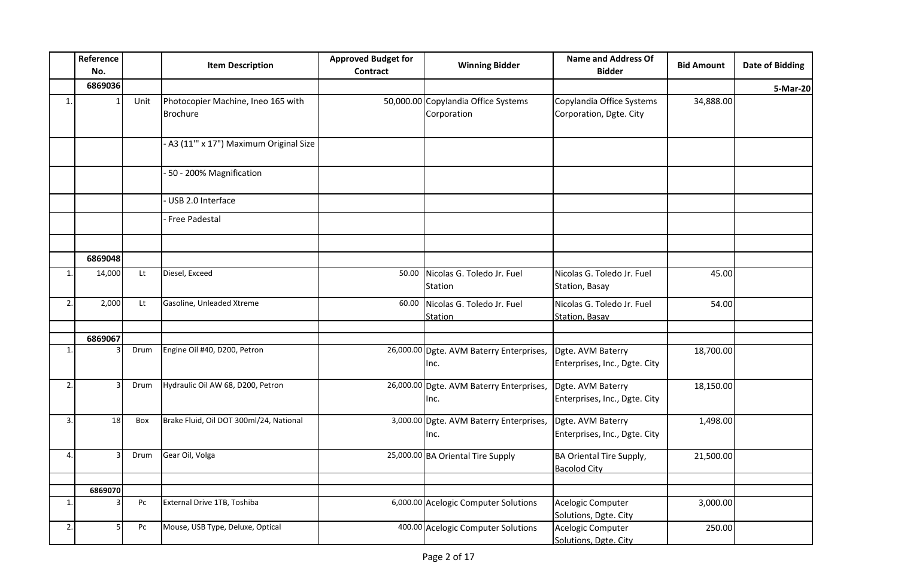|                | Reference<br>No. |      | <b>Item Description</b>                               | <b>Approved Budget for</b><br>Contract | <b>Winning Bidder</b>                              | <b>Name and Address Of</b><br><b>Bidder</b>          | <b>Bid Amount</b> | <b>Date of Bidding</b> |
|----------------|------------------|------|-------------------------------------------------------|----------------------------------------|----------------------------------------------------|------------------------------------------------------|-------------------|------------------------|
|                | 6869036          |      |                                                       |                                        |                                                    |                                                      |                   | 5-Mar-20               |
| 1.             |                  | Unit | Photocopier Machine, Ineo 165 with<br><b>Brochure</b> |                                        | 50,000.00 Copylandia Office Systems<br>Corporation | Copylandia Office Systems<br>Corporation, Dgte. City | 34,888.00         |                        |
|                |                  |      | - A3 (11" x 17") Maximum Original Size                |                                        |                                                    |                                                      |                   |                        |
|                |                  |      | 50 - 200% Magnification                               |                                        |                                                    |                                                      |                   |                        |
|                |                  |      | USB 2.0 Interface                                     |                                        |                                                    |                                                      |                   |                        |
|                |                  |      | Free Padestal                                         |                                        |                                                    |                                                      |                   |                        |
|                | 6869048          |      |                                                       |                                        |                                                    |                                                      |                   |                        |
|                |                  |      | Diesel, Exceed                                        |                                        |                                                    |                                                      |                   |                        |
| 1.             | 14,000           | Lt   |                                                       | 50.00                                  | Nicolas G. Toledo Jr. Fuel<br>Station              | Nicolas G. Toledo Jr. Fuel<br>Station, Basay         | 45.00             |                        |
| 2.             | 2,000            | Lt   | Gasoline, Unleaded Xtreme                             | 60.00                                  | Nicolas G. Toledo Jr. Fuel<br><b>Station</b>       | Nicolas G. Toledo Jr. Fuel<br><b>Station, Basay</b>  | 54.00             |                        |
|                |                  |      |                                                       |                                        |                                                    |                                                      |                   |                        |
| $\mathbf{1}$ . | 6869067          | Drum | Engine Oil #40, D200, Petron                          |                                        | 26,000.00 Dgte. AVM Baterry Enterprises,<br>Inc.   | Dgte. AVM Baterry<br>Enterprises, Inc., Dgte. City   | 18,700.00         |                        |
| 2.             |                  | Drum | Hydraulic Oil AW 68, D200, Petron                     |                                        | 26,000.00 Dgte. AVM Baterry Enterprises,<br>Inc.   | Dgte. AVM Baterry<br>Enterprises, Inc., Dgte. City   | 18,150.00         |                        |
| 3.             | 18               | Box  | Brake Fluid, Oil DOT 300ml/24, National               |                                        | 3,000.00 Dgte. AVM Baterry Enterprises,<br>Inc.    | Dgte. AVM Baterry<br>Enterprises, Inc., Dgte. City   | 1,498.00          |                        |
| 4.             |                  | Drum | Gear Oil, Volga                                       |                                        | 25,000.00 BA Oriental Tire Supply                  | BA Oriental Tire Supply,<br><b>Bacolod City</b>      | 21,500.00         |                        |
|                | 6869070          |      |                                                       |                                        |                                                    |                                                      |                   |                        |
| 1.             |                  | Pc   | External Drive 1TB, Toshiba                           |                                        | 6,000.00 Acelogic Computer Solutions               | Acelogic Computer<br>Solutions, Dgte. City           | 3,000.00          |                        |
| 2.             | 5                | Pc   | Mouse, USB Type, Deluxe, Optical                      |                                        | 400.00 Acelogic Computer Solutions                 | Acelogic Computer<br>Solutions, Dgte. City           | 250.00            |                        |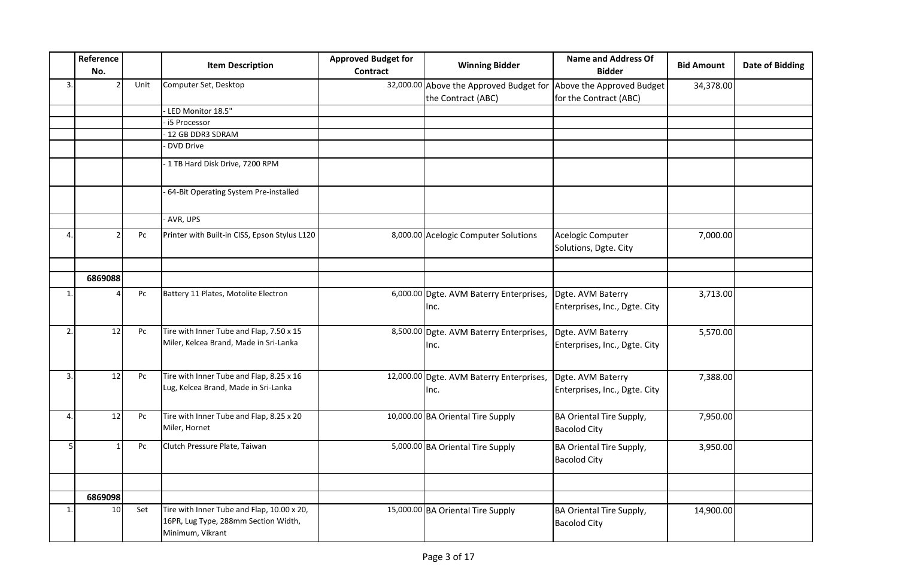|              | Reference<br>No. |      | <b>Item Description</b>                                                                                | <b>Approved Budget for</b><br><b>Contract</b> | <b>Winning Bidder</b>                                         | <b>Name and Address Of</b><br><b>Bidder</b>         | <b>Bid Amount</b> | <b>Date of Bidding</b> |
|--------------|------------------|------|--------------------------------------------------------------------------------------------------------|-----------------------------------------------|---------------------------------------------------------------|-----------------------------------------------------|-------------------|------------------------|
| 3.           |                  | Unit | Computer Set, Desktop                                                                                  |                                               | 32,000.00 Above the Approved Budget for<br>the Contract (ABC) | Above the Approved Budget<br>for the Contract (ABC) | 34,378.00         |                        |
|              |                  |      | - LED Monitor 18.5"                                                                                    |                                               |                                                               |                                                     |                   |                        |
|              |                  |      | - i5 Processor                                                                                         |                                               |                                                               |                                                     |                   |                        |
|              |                  |      | - 12 GB DDR3 SDRAM                                                                                     |                                               |                                                               |                                                     |                   |                        |
|              |                  |      | DVD Drive                                                                                              |                                               |                                                               |                                                     |                   |                        |
|              |                  |      |                                                                                                        |                                               |                                                               |                                                     |                   |                        |
|              |                  |      | - 1 TB Hard Disk Drive, 7200 RPM                                                                       |                                               |                                                               |                                                     |                   |                        |
|              |                  |      | - 64-Bit Operating System Pre-installed                                                                |                                               |                                                               |                                                     |                   |                        |
|              |                  |      | - AVR, UPS                                                                                             |                                               |                                                               |                                                     |                   |                        |
| 4.           |                  | Pc   | Printer with Built-in CISS, Epson Stylus L120                                                          |                                               | 8,000.00 Acelogic Computer Solutions                          | Acelogic Computer<br>Solutions, Dgte. City          | 7,000.00          |                        |
|              |                  |      |                                                                                                        |                                               |                                                               |                                                     |                   |                        |
|              | 6869088          |      |                                                                                                        |                                               |                                                               |                                                     |                   |                        |
| $\mathbf{1}$ |                  | Pc   | Battery 11 Plates, Motolite Electron                                                                   |                                               | 6,000.00 Dgte. AVM Baterry Enterprises,<br>Inc.               | Dgte. AVM Baterry<br>Enterprises, Inc., Dgte. City  | 3,713.00          |                        |
| 2.           | 12               | Pc   | Tire with Inner Tube and Flap, 7.50 x 15<br>Miler, Kelcea Brand, Made in Sri-Lanka                     |                                               | 8,500.00 Dgte. AVM Baterry Enterprises,<br>Inc.               | Dgte. AVM Baterry<br>Enterprises, Inc., Dgte. City  | 5,570.00          |                        |
| 3.           | 12               | Pc   | Tire with Inner Tube and Flap, 8.25 x 16<br>Lug, Kelcea Brand, Made in Sri-Lanka                       |                                               | 12,000.00 Dgte. AVM Baterry Enterprises,<br>Inc.              | Dgte. AVM Baterry<br>Enterprises, Inc., Dgte. City  | 7,388.00          |                        |
| 4.           | 12               | Pc   | Tire with Inner Tube and Flap, 8.25 x 20<br>Miler, Hornet                                              |                                               | 10,000.00 BA Oriental Tire Supply                             | BA Oriental Tire Supply,<br><b>Bacolod City</b>     | 7,950.00          |                        |
| 5            |                  | Pc   | Clutch Pressure Plate, Taiwan                                                                          |                                               | 5,000.00 BA Oriental Tire Supply                              | BA Oriental Tire Supply,<br><b>Bacolod City</b>     | 3,950.00          |                        |
|              |                  |      |                                                                                                        |                                               |                                                               |                                                     |                   |                        |
|              | 6869098          |      |                                                                                                        |                                               |                                                               |                                                     |                   |                        |
| $\mathbf{1}$ | 10               | Set  | Tire with Inner Tube and Flap, 10.00 x 20,<br>16PR, Lug Type, 288mm Section Width,<br>Minimum, Vikrant |                                               | 15,000.00 BA Oriental Tire Supply                             | BA Oriental Tire Supply,<br><b>Bacolod City</b>     | 14,900.00         |                        |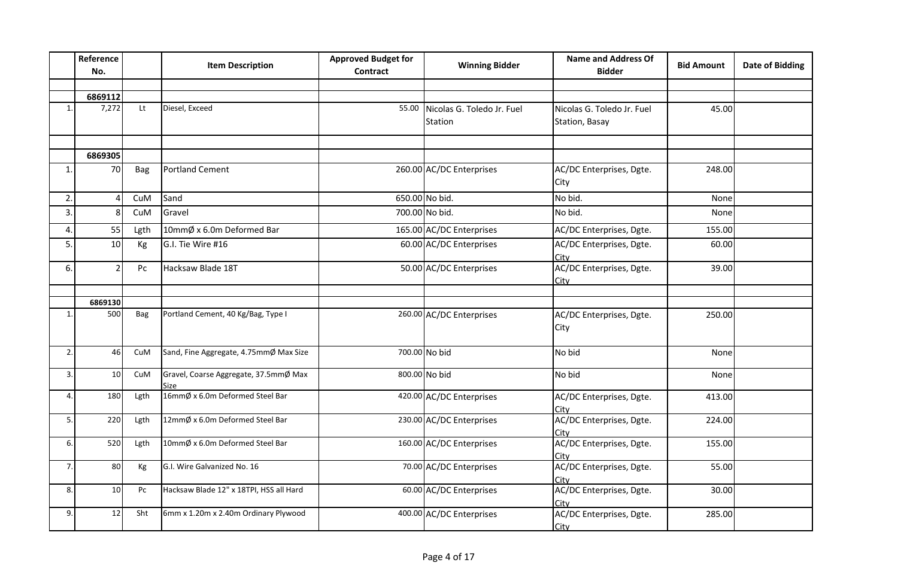|                | Reference<br>No. |      | <b>Item Description</b>                       | <b>Approved Budget for</b><br><b>Contract</b> | <b>Winning Bidder</b>      | <b>Name and Address Of</b><br><b>Bidder</b> | <b>Bid Amount</b> | <b>Date of Bidding</b> |
|----------------|------------------|------|-----------------------------------------------|-----------------------------------------------|----------------------------|---------------------------------------------|-------------------|------------------------|
|                |                  |      |                                               |                                               |                            |                                             |                   |                        |
|                | 6869112          |      |                                               |                                               |                            |                                             |                   |                        |
| $\mathbf{1}$ . | 7,272            | Lt   | Diesel, Exceed                                | 55.00                                         | Nicolas G. Toledo Jr. Fuel | Nicolas G. Toledo Jr. Fuel                  | 45.00             |                        |
|                |                  |      |                                               |                                               | Station                    | Station, Basay                              |                   |                        |
|                |                  |      |                                               |                                               |                            |                                             |                   |                        |
|                | 6869305          |      |                                               |                                               |                            |                                             |                   |                        |
| 1.             | 70               | Bag  | <b>Portland Cement</b>                        |                                               | 260.00 AC/DC Enterprises   | AC/DC Enterprises, Dgte.<br>City            | 248.00            |                        |
| 2.             |                  | CuM  | Sand                                          |                                               | 650.00 No bid.             | No bid.                                     | None              |                        |
| 3.             | 8                | CuM  | Gravel                                        |                                               | 700.00 No bid.             | No bid.                                     | None              |                        |
| 4.             | 55               | Lgth | 10mmØ x 6.0m Deformed Bar                     |                                               | 165.00 AC/DC Enterprises   | AC/DC Enterprises, Dgte.                    | 155.00            |                        |
| 5.             | 10               | Kg   | G.I. Tie Wire #16                             |                                               | 60.00 AC/DC Enterprises    | AC/DC Enterprises, Dgte.<br>City            | 60.00             |                        |
| 6.             | 2                | Pc   | Hacksaw Blade 18T                             |                                               | 50.00 AC/DC Enterprises    | AC/DC Enterprises, Dgte.<br>City            | 39.00             |                        |
|                |                  |      |                                               |                                               |                            |                                             |                   |                        |
|                | 6869130          |      |                                               |                                               |                            |                                             |                   |                        |
| 1.             | 500              | Bag  | Portland Cement, 40 Kg/Bag, Type I            |                                               | 260.00 AC/DC Enterprises   | AC/DC Enterprises, Dgte.<br>City            | 250.00            |                        |
| 2.             | 46               | CuM  | Sand, Fine Aggregate, 4.75mmØ Max Size        |                                               | 700.00 No bid              | No bid                                      | None              |                        |
| 3.             | 10 <sup>1</sup>  | CuM  | Gravel, Coarse Aggregate, 37.5mmØ Max<br>Size |                                               | 800.00 No bid              | No bid                                      | None              |                        |
| 4.             | 180              | Lgth | 16mmØ x 6.0m Deformed Steel Bar               |                                               | 420.00 AC/DC Enterprises   | AC/DC Enterprises, Dgte.<br>City            | 413.00            |                        |
| 5.             | 220              | Lgth | 12mmØ x 6.0m Deformed Steel Bar               |                                               | 230.00 AC/DC Enterprises   | AC/DC Enterprises, Dgte.<br>Citv            | 224.00            |                        |
| 6.             | 520              | Lgth | 10mmØ x 6.0m Deformed Steel Bar               |                                               | 160.00 AC/DC Enterprises   | AC/DC Enterprises, Dgte.<br>Citv            | 155.00            |                        |
| 7.             | 80               | Kg   | G.I. Wire Galvanized No. 16                   |                                               | 70.00 AC/DC Enterprises    | AC/DC Enterprises, Dgte.<br>City            | 55.00             |                        |
| 8.             | 10               | Pc   | Hacksaw Blade 12" x 18TPI, HSS all Hard       |                                               | 60.00 AC/DC Enterprises    | AC/DC Enterprises, Dgte.<br>City            | 30.00             |                        |
| 9.             | 12               | Sht  | 6mm x 1.20m x 2.40m Ordinary Plywood          |                                               | 400.00 AC/DC Enterprises   | AC/DC Enterprises, Dgte.<br>City            | 285.00            |                        |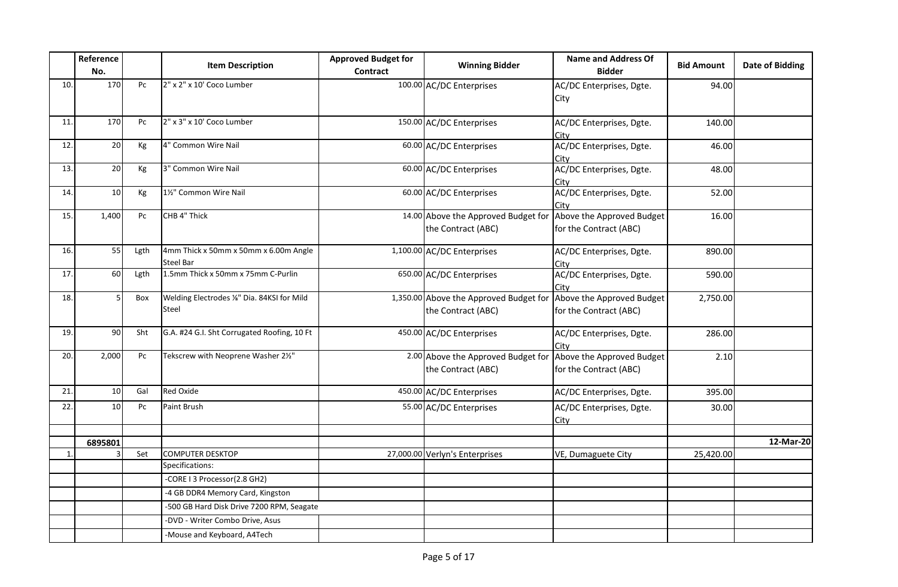|              | Reference<br>No. |      | <b>Item Description</b>                                   | <b>Approved Budget for</b><br><b>Contract</b> | <b>Winning Bidder</b>                                        | <b>Name and Address Of</b><br><b>Bidder</b>         | <b>Bid Amount</b> | <b>Date of Bidding</b> |
|--------------|------------------|------|-----------------------------------------------------------|-----------------------------------------------|--------------------------------------------------------------|-----------------------------------------------------|-------------------|------------------------|
| 10.          | 170              | Pc   | 2" x 2" x 10' Coco Lumber                                 |                                               | 100.00 AC/DC Enterprises                                     | AC/DC Enterprises, Dgte.<br>City                    | 94.00             |                        |
| 11.          | 170              | Pc   | 2" x 3" x 10' Coco Lumber                                 |                                               | 150.00 AC/DC Enterprises                                     | AC/DC Enterprises, Dgte.<br>City                    | 140.00            |                        |
| 12.          | 20               | Кg   | 4" Common Wire Nail                                       |                                               | 60.00 AC/DC Enterprises                                      | AC/DC Enterprises, Dgte.<br>Citv                    | 46.00             |                        |
| 13.          | 20               | Кg   | 3" Common Wire Nail                                       |                                               | 60.00 AC/DC Enterprises                                      | AC/DC Enterprises, Dgte.<br>Citv                    | 48.00             |                        |
| 14.          | 10               | Кg   | 11/2" Common Wire Nail                                    |                                               | 60.00 AC/DC Enterprises                                      | AC/DC Enterprises, Dgte.<br>Citv                    | 52.00             |                        |
| 15.          | 1,400            | Pc   | CHB 4" Thick                                              |                                               | 14.00 Above the Approved Budget for<br>the Contract (ABC)    | Above the Approved Budget<br>for the Contract (ABC) | 16.00             |                        |
| 16.          | 55               | Lgth | 4mm Thick x 50mm x 50mm x 6.00m Angle<br><b>Steel Bar</b> |                                               | 1,100.00 AC/DC Enterprises                                   | AC/DC Enterprises, Dgte.<br>Citv                    | 890.00            |                        |
| 17.          | 60               | Lgth | 1.5mm Thick x 50mm x 75mm C-Purlin                        |                                               | 650.00 AC/DC Enterprises                                     | AC/DC Enterprises, Dgte.<br>City                    | 590.00            |                        |
| 18.          | 5                | Box  | Welding Electrodes %" Dia. 84KSI for Mild<br>Steel        |                                               | 1,350.00 Above the Approved Budget for<br>the Contract (ABC) | Above the Approved Budget<br>for the Contract (ABC) | 2,750.00          |                        |
| 19.          | 90               | Sht  | G.A. #24 G.I. Sht Corrugated Roofing, 10 Ft               |                                               | 450.00 AC/DC Enterprises                                     | AC/DC Enterprises, Dgte.<br>City                    | 286.00            |                        |
| 20.          | 2,000            | Pc   | Tekscrew with Neoprene Washer 21/2"                       |                                               | 2.00 Above the Approved Budget for<br>the Contract (ABC)     | Above the Approved Budget<br>for the Contract (ABC) | 2.10              |                        |
| 21.          | 10               | Gal  | <b>Red Oxide</b>                                          |                                               | 450.00 AC/DC Enterprises                                     | AC/DC Enterprises, Dgte.                            | 395.00            |                        |
| 22.          | 10 <sup>1</sup>  | Pc   | Paint Brush                                               |                                               | 55.00 AC/DC Enterprises                                      | AC/DC Enterprises, Dgte.<br><u>City</u>             | 30.00             |                        |
|              | 6895801          |      |                                                           |                                               |                                                              |                                                     |                   | 12-Mar-20              |
| $\mathbf{1}$ |                  | Set  | <b>COMPUTER DESKTOP</b>                                   |                                               | 27,000.00 Verlyn's Enterprises                               | VE, Dumaguete City                                  | 25,420.00         |                        |
|              |                  |      | Specifications:                                           |                                               |                                                              |                                                     |                   |                        |
|              |                  |      | -CORE I 3 Processor(2.8 GH2)                              |                                               |                                                              |                                                     |                   |                        |
|              |                  |      | -4 GB DDR4 Memory Card, Kingston                          |                                               |                                                              |                                                     |                   |                        |
|              |                  |      | -500 GB Hard Disk Drive 7200 RPM, Seagate                 |                                               |                                                              |                                                     |                   |                        |
|              |                  |      | -DVD - Writer Combo Drive, Asus                           |                                               |                                                              |                                                     |                   |                        |
|              |                  |      | -Mouse and Keyboard, A4Tech                               |                                               |                                                              |                                                     |                   |                        |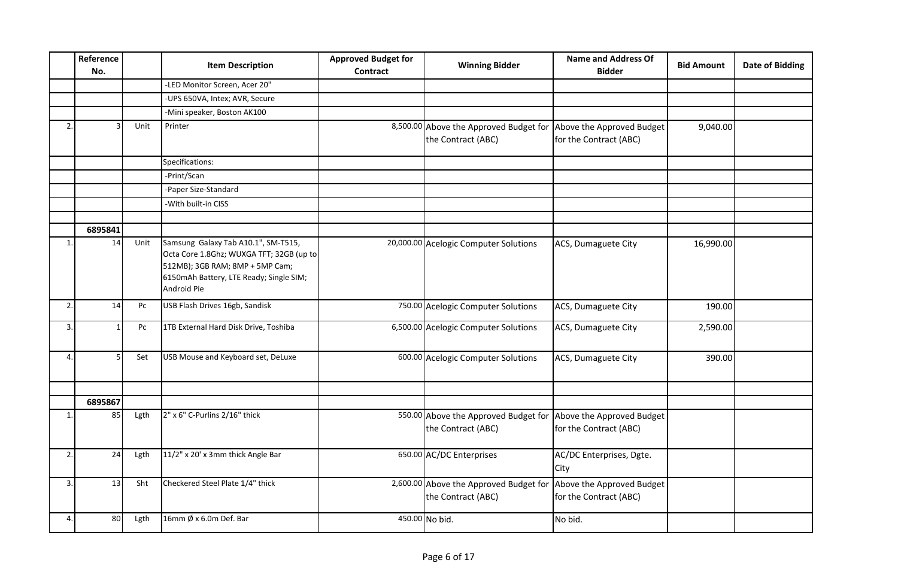|              | Reference<br>No. |      | <b>Item Description</b>                                                                                                                                                      | <b>Approved Budget for</b><br><b>Contract</b> | <b>Winning Bidder</b>                                                                  | <b>Name and Address Of</b><br><b>Bidder</b>         | <b>Bid Amount</b> | <b>Date of Bidding</b> |
|--------------|------------------|------|------------------------------------------------------------------------------------------------------------------------------------------------------------------------------|-----------------------------------------------|----------------------------------------------------------------------------------------|-----------------------------------------------------|-------------------|------------------------|
|              |                  |      | -LED Monitor Screen, Acer 20"                                                                                                                                                |                                               |                                                                                        |                                                     |                   |                        |
|              |                  |      | -UPS 650VA, Intex; AVR, Secure                                                                                                                                               |                                               |                                                                                        |                                                     |                   |                        |
|              |                  |      | -Mini speaker, Boston AK100                                                                                                                                                  |                                               |                                                                                        |                                                     |                   |                        |
| 2.           |                  | Unit | Printer                                                                                                                                                                      |                                               | 8,500.00 Above the Approved Budget for Above the Approved Budget<br>the Contract (ABC) | for the Contract (ABC)                              | 9,040.00          |                        |
|              |                  |      | Specifications:                                                                                                                                                              |                                               |                                                                                        |                                                     |                   |                        |
|              |                  |      | -Print/Scan                                                                                                                                                                  |                                               |                                                                                        |                                                     |                   |                        |
|              |                  |      | -Paper Size-Standard                                                                                                                                                         |                                               |                                                                                        |                                                     |                   |                        |
|              |                  |      | -With built-in CISS                                                                                                                                                          |                                               |                                                                                        |                                                     |                   |                        |
|              |                  |      |                                                                                                                                                                              |                                               |                                                                                        |                                                     |                   |                        |
|              | 6895841          |      |                                                                                                                                                                              |                                               |                                                                                        |                                                     |                   |                        |
| $\mathbf{1}$ | 14               | Unit | Samsung Galaxy Tab A10.1", SM-T515,<br>Octa Core 1.8Ghz; WUXGA TFT; 32GB (up to<br>512MB); 3GB RAM; 8MP + 5MP Cam;<br>6150mAh Battery, LTE Ready; Single SIM;<br>Android Pie |                                               | 20,000.00 Acelogic Computer Solutions                                                  | ACS, Dumaguete City                                 | 16,990.00         |                        |
| 2.           | 14               | Pc   | USB Flash Drives 16gb, Sandisk                                                                                                                                               |                                               | 750.00 Acelogic Computer Solutions                                                     | ACS, Dumaguete City                                 | 190.00            |                        |
| 3.           |                  | Pc   | 1TB External Hard Disk Drive, Toshiba                                                                                                                                        |                                               | 6,500.00 Acelogic Computer Solutions                                                   | ACS, Dumaguete City                                 | 2,590.00          |                        |
| 4.           |                  | Set  | USB Mouse and Keyboard set, DeLuxe                                                                                                                                           |                                               | 600.00 Acelogic Computer Solutions                                                     | ACS, Dumaguete City                                 | 390.00            |                        |
|              |                  |      |                                                                                                                                                                              |                                               |                                                                                        |                                                     |                   |                        |
|              | 6895867          |      |                                                                                                                                                                              |                                               |                                                                                        |                                                     |                   |                        |
| 1.           | 85               | Lgth | 2" x 6" C-Purlins 2/16" thick                                                                                                                                                |                                               | 550.00 Above the Approved Budget for<br>the Contract (ABC)                             | Above the Approved Budget<br>for the Contract (ABC) |                   |                        |
| 2.           | 24               | Lgth | 11/2" x 20' x 3mm thick Angle Bar                                                                                                                                            |                                               | 650.00 AC/DC Enterprises                                                               | AC/DC Enterprises, Dgte.<br>City                    |                   |                        |
| 3.           | 13               | Sht  | Checkered Steel Plate 1/4" thick                                                                                                                                             |                                               | 2,600.00 Above the Approved Budget for<br>the Contract (ABC)                           | Above the Approved Budget<br>for the Contract (ABC) |                   |                        |
| 4.           | 80               | Lgth | 16mm $\emptyset$ x 6.0m Def. Bar                                                                                                                                             |                                               | 450.00 No bid.                                                                         | No bid.                                             |                   |                        |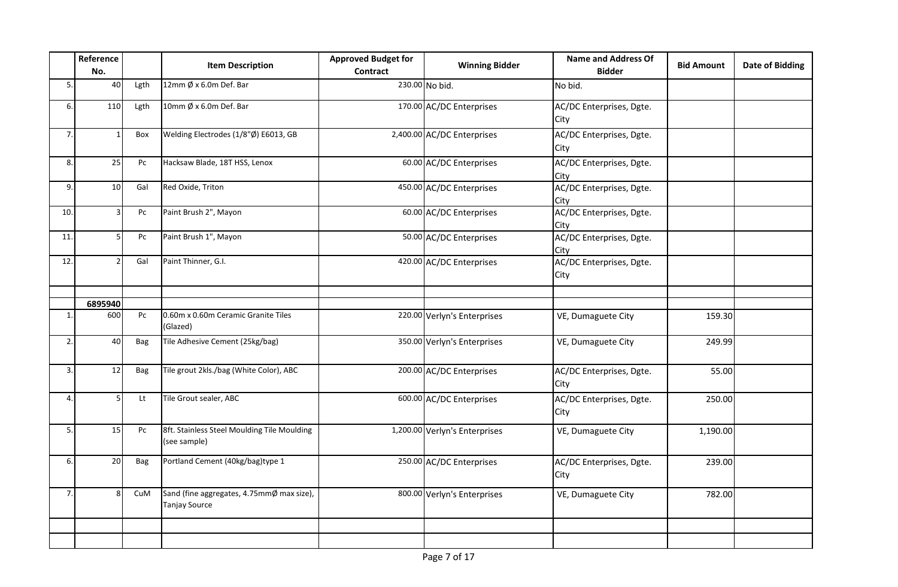|              | Reference<br>No. |      | <b>Item Description</b>                                           | <b>Approved Budget for</b><br><b>Contract</b> | <b>Winning Bidder</b>         | <b>Name and Address Of</b><br><b>Bidder</b> | <b>Bid Amount</b> | <b>Date of Bidding</b> |
|--------------|------------------|------|-------------------------------------------------------------------|-----------------------------------------------|-------------------------------|---------------------------------------------|-------------------|------------------------|
| 5.           | 40               | Lgth | 12mm $\emptyset$ x 6.0m Def. Bar                                  |                                               | 230.00 No bid.                | No bid.                                     |                   |                        |
| 6.           | 110              | Lgth | 10mm $\emptyset$ x 6.0m Def. Bar                                  |                                               | 170.00 AC/DC Enterprises      | AC/DC Enterprises, Dgte.<br>City            |                   |                        |
| 7.           | $\mathbf{1}$     | Box  | Welding Electrodes (1/8"Ø) E6013, GB                              |                                               | 2,400.00 AC/DC Enterprises    | AC/DC Enterprises, Dgte.<br>City            |                   |                        |
| 8.           | 25               | Pc   | Hacksaw Blade, 18T HSS, Lenox                                     |                                               | 60.00 AC/DC Enterprises       | AC/DC Enterprises, Dgte.<br>City            |                   |                        |
| 9.           | 10               | Gal  | Red Oxide, Triton                                                 |                                               | 450.00 AC/DC Enterprises      | AC/DC Enterprises, Dgte.<br>City            |                   |                        |
| 10.          | 3                | Pc   | Paint Brush 2", Mayon                                             |                                               | 60.00 AC/DC Enterprises       | AC/DC Enterprises, Dgte.<br>City            |                   |                        |
| 11.          | 5                | Pc   | Paint Brush 1", Mayon                                             |                                               | 50.00 AC/DC Enterprises       | AC/DC Enterprises, Dgte.<br>City            |                   |                        |
| 12.          | $\mathcal{P}$    | Gal  | Paint Thinner, G.I.                                               |                                               | 420.00 AC/DC Enterprises      | AC/DC Enterprises, Dgte.<br>City            |                   |                        |
|              | 6895940          |      |                                                                   |                                               |                               |                                             |                   |                        |
| $\mathbf{1}$ | 600              | Pc   | 0.60m x 0.60m Ceramic Granite Tiles<br>(Glazed)                   |                                               | 220.00 Verlyn's Enterprises   | VE, Dumaguete City                          | 159.30            |                        |
| 2.           | 40               | Bag  | Tile Adhesive Cement (25kg/bag)                                   |                                               | 350.00 Verlyn's Enterprises   | VE, Dumaguete City                          | 249.99            |                        |
| 3.           | 12               | Bag  | Tile grout 2kls./bag (White Color), ABC                           |                                               | 200.00 AC/DC Enterprises      | AC/DC Enterprises, Dgte.<br>City            | 55.00             |                        |
| 4.           | 5 <sup>1</sup>   | Lt   | Tile Grout sealer, ABC                                            |                                               | 600.00 AC/DC Enterprises      | AC/DC Enterprises, Dgte.<br>City            | 250.00            |                        |
| 5.           | 15               | Pc   | 8ft. Stainless Steel Moulding Tile Moulding<br>(see sample)       |                                               | 1,200.00 Verlyn's Enterprises | VE, Dumaguete City                          | 1,190.00          |                        |
| 6.           | 20               | Bag  | Portland Cement (40kg/bag)type 1                                  |                                               | 250.00 AC/DC Enterprises      | AC/DC Enterprises, Dgte.<br>City            | 239.00            |                        |
| 7.           | 8                | CuM  | Sand (fine aggregates, 4.75mmØ max size),<br><b>Tanjay Source</b> |                                               | 800.00 Verlyn's Enterprises   | VE, Dumaguete City                          | 782.00            |                        |
|              |                  |      |                                                                   |                                               |                               |                                             |                   |                        |
|              |                  |      |                                                                   |                                               |                               |                                             |                   |                        |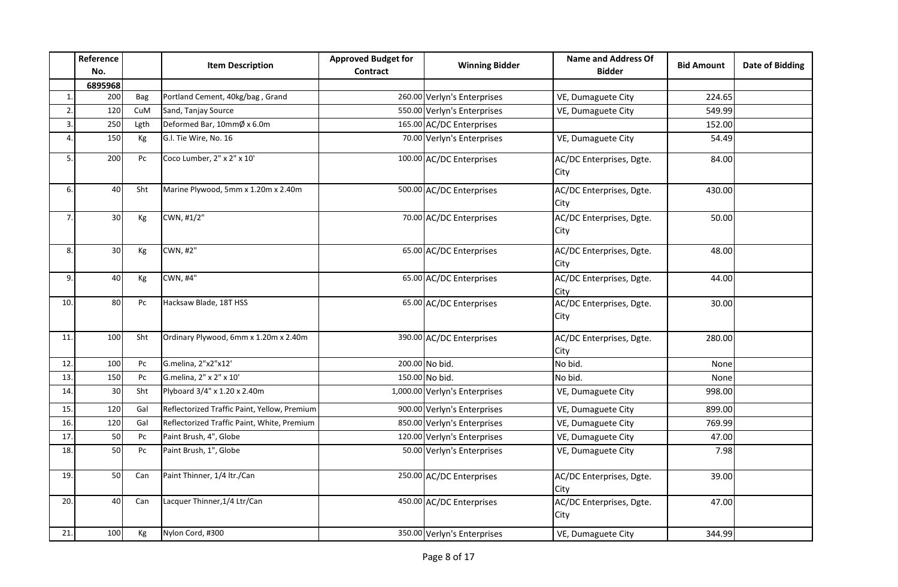|                  | Reference<br>No. |            | <b>Item Description</b>                      | <b>Approved Budget for</b><br>Contract | <b>Winning Bidder</b>         | <b>Name and Address Of</b><br><b>Bidder</b> | <b>Bid Amount</b> | <b>Date of Bidding</b> |
|------------------|------------------|------------|----------------------------------------------|----------------------------------------|-------------------------------|---------------------------------------------|-------------------|------------------------|
|                  | 6895968          |            |                                              |                                        |                               |                                             |                   |                        |
| $\mathbf{1}$     | 200              | <b>Bag</b> | Portland Cement, 40kg/bag, Grand             |                                        | 260.00 Verlyn's Enterprises   | VE, Dumaguete City                          | 224.65            |                        |
| 2.               | 120              | CuM        | Sand, Tanjay Source                          |                                        | 550.00 Verlyn's Enterprises   | VE, Dumaguete City                          | 549.99            |                        |
| $\overline{3}$ . | 250              | Lgth       | Deformed Bar, 10mmØ x 6.0m                   |                                        | 165.00 AC/DC Enterprises      |                                             | 152.00            |                        |
| $\overline{4}$   | 150              | Kg         | G.I. Tie Wire, No. 16                        |                                        | 70.00 Verlyn's Enterprises    | VE, Dumaguete City                          | 54.49             |                        |
| 5.               | 200              | Pc         | Coco Lumber, 2" x 2" x 10'                   |                                        | 100.00 AC/DC Enterprises      | AC/DC Enterprises, Dgte.<br>City            | 84.00             |                        |
| 6.               | 40               | Sht        | Marine Plywood, 5mm x 1.20m x 2.40m          |                                        | 500.00 AC/DC Enterprises      | AC/DC Enterprises, Dgte.<br>City            | 430.00            |                        |
| 7.               | 30               | Kg         | CWN, #1/2"                                   |                                        | 70.00 AC/DC Enterprises       | AC/DC Enterprises, Dgte.<br>City            | 50.00             |                        |
| 8.               | 30               | Kg         | CWN, #2"                                     |                                        | 65.00 AC/DC Enterprises       | AC/DC Enterprises, Dgte.<br>City            | 48.00             |                        |
| 9.               | 40               | Kg         | CWN, #4"                                     |                                        | 65.00 AC/DC Enterprises       | AC/DC Enterprises, Dgte.<br>City            | 44.00             |                        |
| 10.              | 80               | Pc         | Hacksaw Blade, 18T HSS                       |                                        | 65.00 AC/DC Enterprises       | AC/DC Enterprises, Dgte.<br>City            | 30.00             |                        |
| 11.              | 100              | Sht        | Ordinary Plywood, 6mm x 1.20m x 2.40m        |                                        | 390.00 AC/DC Enterprises      | AC/DC Enterprises, Dgte.<br>City            | 280.00            |                        |
| 12.              | 100              | Pc         | G.melina, 2"x2"x12'                          |                                        | 200.00 No bid.                | No bid.                                     | None              |                        |
| 13.              | 150              | Pc         | G.melina, 2" x 2" x 10'                      |                                        | 150.00 No bid.                | No bid.                                     | None              |                        |
| 14               | 30               | Sht        | Plyboard 3/4" x 1.20 x 2.40m                 |                                        | 1,000.00 Verlyn's Enterprises | VE, Dumaguete City                          | 998.00            |                        |
| 15.              | 120              | Gal        | Reflectorized Traffic Paint, Yellow, Premium |                                        | 900.00 Verlyn's Enterprises   | VE, Dumaguete City                          | 899.00            |                        |
| 16.              | 120              | Gal        | Reflectorized Traffic Paint, White, Premium  |                                        | 850.00 Verlyn's Enterprises   | VE, Dumaguete City                          | 769.99            |                        |
| 17.              | 50               | Pc         | Paint Brush, 4", Globe                       |                                        | 120.00 Verlyn's Enterprises   | VE, Dumaguete City                          | 47.00             |                        |
| 18.              | 50               | Pc         | Paint Brush, 1", Globe                       |                                        | 50.00 Verlyn's Enterprises    | VE, Dumaguete City                          | 7.98              |                        |
| 19.              | 50               | Can        | Paint Thinner, 1/4 ltr./Can                  |                                        | 250.00 AC/DC Enterprises      | AC/DC Enterprises, Dgte.<br>City            | 39.00             |                        |
| 20.              | 40               | Can        | Lacquer Thinner, 1/4 Ltr/Can                 |                                        | 450.00 AC/DC Enterprises      | AC/DC Enterprises, Dgte.<br>City            | 47.00             |                        |
| 21.              | 100              | Kg         | Nylon Cord, #300                             |                                        | 350.00 Verlyn's Enterprises   | VE, Dumaguete City                          | 344.99            |                        |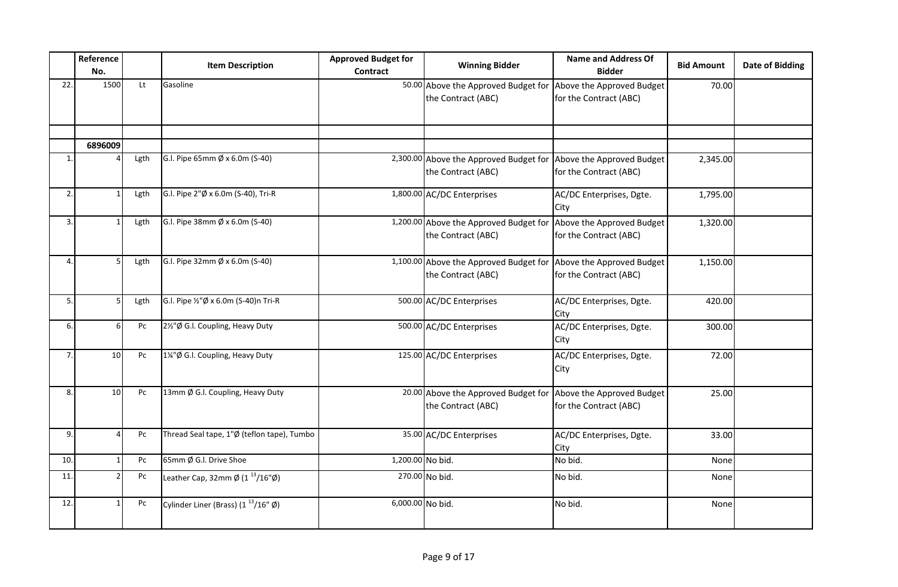|              | Reference<br>No. |                        | <b>Item Description</b>                                                             | <b>Approved Budget for</b><br><b>Contract</b> | <b>Winning Bidder</b>                                                                  | <b>Name and Address Of</b><br><b>Bidder</b>         | <b>Bid Amount</b> | <b>Date of Bidding</b> |
|--------------|------------------|------------------------|-------------------------------------------------------------------------------------|-----------------------------------------------|----------------------------------------------------------------------------------------|-----------------------------------------------------|-------------------|------------------------|
| 22.          | 1500             | Lt                     | Gasoline                                                                            |                                               | 50.00 Above the Approved Budget for<br>the Contract (ABC)                              | Above the Approved Budget<br>for the Contract (ABC) | 70.00             |                        |
|              |                  |                        |                                                                                     |                                               |                                                                                        |                                                     |                   |                        |
| $\mathbf{1}$ | 6896009          | Lgth                   | G.I. Pipe 65mm Ø x 6.0m (S-40)                                                      |                                               | 2,300.00 Above the Approved Budget for Above the Approved Budget<br>the Contract (ABC) | for the Contract (ABC)                              | 2,345.00          |                        |
| 2.           |                  | Lgth                   | G.I. Pipe 2"Ø x 6.0m (S-40), Tri-R                                                  |                                               | 1,800.00 AC/DC Enterprises                                                             | AC/DC Enterprises, Dgte.<br>City                    | 1,795.00          |                        |
| 3.           |                  | Lgth                   | G.I. Pipe 38mm $\emptyset$ x 6.0m (S-40)                                            |                                               | 1,200.00 Above the Approved Budget for<br>the Contract (ABC)                           | Above the Approved Budget<br>for the Contract (ABC) | 1,320.00          |                        |
| 4.           |                  | Lgth                   | G.I. Pipe 32mm Ø x 6.0m (S-40)                                                      |                                               | 1,100.00 Above the Approved Budget for Above the Approved Budget<br>the Contract (ABC) | for the Contract (ABC)                              | 1,150.00          |                        |
| 5.           |                  | Lgth                   | G.I. Pipe 1/2"Ø x 6.0m (S-40)n Tri-R                                                |                                               | 500.00 AC/DC Enterprises                                                               | AC/DC Enterprises, Dgte.<br>City                    | 420.00            |                        |
| 6.           |                  | Pc                     | 2½"Ø G.I. Coupling, Heavy Duty                                                      |                                               | 500.00 AC/DC Enterprises                                                               | AC/DC Enterprises, Dgte.<br>City                    | 300.00            |                        |
| 7.           | 10               | Pc                     | 1¼"Ø G.I. Coupling, Heavy Duty                                                      |                                               | 125.00 AC/DC Enterprises                                                               | AC/DC Enterprises, Dgte.<br>City                    | 72.00             |                        |
| 8.           | 10               | Pc                     | 13mm Ø G.I. Coupling, Heavy Duty                                                    |                                               | 20.00 Above the Approved Budget for<br>the Contract (ABC)                              | Above the Approved Budget<br>for the Contract (ABC) | 25.00             |                        |
| 9.           |                  | Pc                     | Thread Seal tape, 1"Ø (teflon tape), Tumbo                                          |                                               | 35.00 AC/DC Enterprises                                                                | AC/DC Enterprises, Dgte.<br>City                    | 33.00             |                        |
| 10.          | $\mathbf{1}$     | Pc                     | 65mm Ø G.I. Drive Shoe                                                              | 1,200.00 No bid.                              |                                                                                        | No bid.                                             | None              |                        |
| 11.          |                  | $\mathsf{P}\mathsf{C}$ | Leather Cap, 32mm $\cancel{\emptyset}$ (1 <sup>13</sup> /16" $\cancel{\emptyset}$ ) |                                               | 270.00 No bid.                                                                         | No bid.                                             | None              |                        |
| 12.          |                  | Pc                     | Cylinder Liner (Brass) $(1^{13}/16" \emptyset)$                                     | 6,000.00 No bid.                              |                                                                                        | No bid.                                             | None              |                        |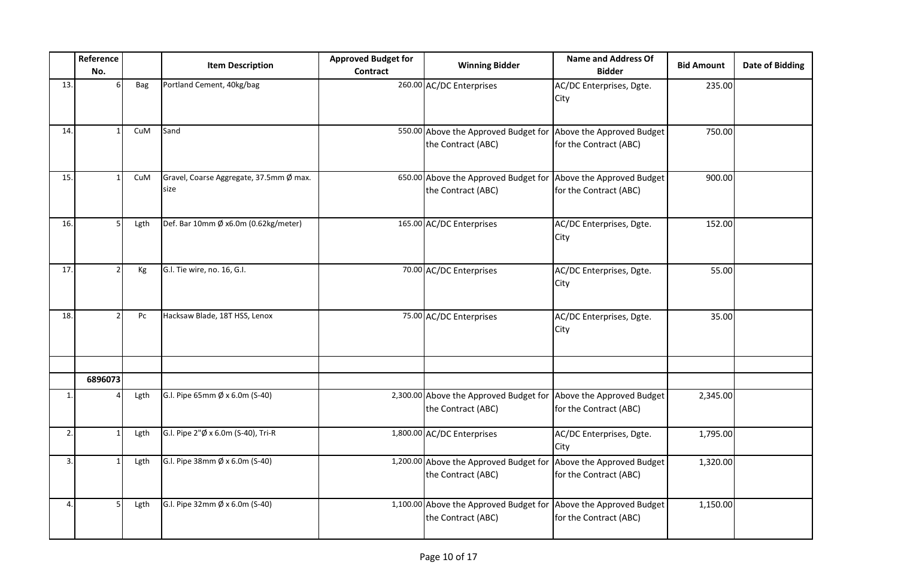|     | Reference<br>No. |            | <b>Item Description</b>                         | <b>Approved Budget for</b><br>Contract | <b>Winning Bidder</b>                                                                  | <b>Name and Address Of</b><br><b>Bidder</b>         | <b>Bid Amount</b> | <b>Date of Bidding</b> |
|-----|------------------|------------|-------------------------------------------------|----------------------------------------|----------------------------------------------------------------------------------------|-----------------------------------------------------|-------------------|------------------------|
| 13. |                  | <b>Bag</b> | Portland Cement, 40kg/bag                       |                                        | 260.00 AC/DC Enterprises                                                               | AC/DC Enterprises, Dgte.<br>City                    | 235.00            |                        |
| 14. |                  | CuM        | Sand                                            |                                        | 550.00 Above the Approved Budget for<br>the Contract (ABC)                             | Above the Approved Budget<br>for the Contract (ABC) | 750.00            |                        |
| 15. |                  | CuM        | Gravel, Coarse Aggregate, 37.5mm Ø max.<br>size |                                        | 650.00 Above the Approved Budget for<br>the Contract (ABC)                             | Above the Approved Budget<br>for the Contract (ABC) | 900.00            |                        |
| 16. |                  | Lgth       | Def. Bar 10mm Ø x6.0m (0.62kg/meter)            |                                        | 165.00 AC/DC Enterprises                                                               | AC/DC Enterprises, Dgte.<br>City                    | 152.00            |                        |
| 17. |                  | Kg         | G.l. Tie wire, no. 16, G.l.                     |                                        | 70.00 AC/DC Enterprises                                                                | AC/DC Enterprises, Dgte.<br>City                    | 55.00             |                        |
| 18. |                  | Pc         | Hacksaw Blade, 18T HSS, Lenox                   |                                        | 75.00 AC/DC Enterprises                                                                | AC/DC Enterprises, Dgte.<br>City                    | 35.00             |                        |
|     | 6896073          |            |                                                 |                                        |                                                                                        |                                                     |                   |                        |
| 1.  |                  | Lgth       | G.I. Pipe 65mm Ø x 6.0m (S-40)                  |                                        | 2,300.00 Above the Approved Budget for<br>the Contract (ABC)                           | Above the Approved Budget<br>for the Contract (ABC) | 2,345.00          |                        |
| 2.  |                  | Lgth       | G.I. Pipe 2"Ø x 6.0m (S-40), Tri-R              |                                        | 1,800.00 AC/DC Enterprises                                                             | AC/DC Enterprises, Dgte.<br>City                    | 1,795.00          |                        |
| 3.  |                  | Lgth       | G.I. Pipe 38mm Ø x 6.0m (S-40)                  |                                        | 1,200.00 Above the Approved Budget for<br>the Contract (ABC)                           | Above the Approved Budget<br>for the Contract (ABC) | 1,320.00          |                        |
| 4.  |                  | Lgth       | G.I. Pipe 32mm Ø x 6.0m (S-40)                  |                                        | 1,100.00 Above the Approved Budget for Above the Approved Budget<br>the Contract (ABC) | for the Contract (ABC)                              | 1,150.00          |                        |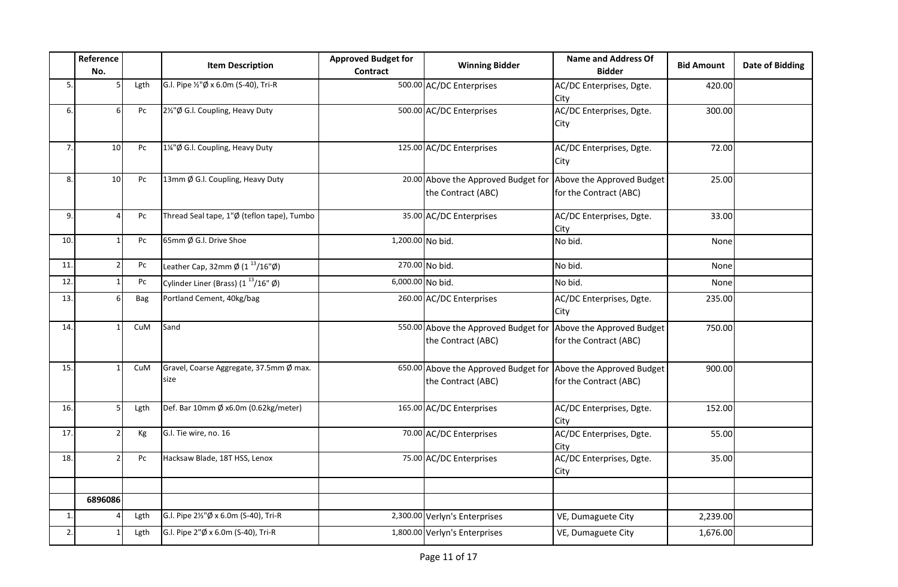|                | Reference<br>No. |                        | <b>Item Description</b>                                               | <b>Approved Budget for</b><br>Contract | <b>Winning Bidder</b>                                                                | <b>Name and Address Of</b><br><b>Bidder</b>         | <b>Bid Amount</b> | Date of Bidding |
|----------------|------------------|------------------------|-----------------------------------------------------------------------|----------------------------------------|--------------------------------------------------------------------------------------|-----------------------------------------------------|-------------------|-----------------|
| 5.             |                  | Lgth                   | G.I. Pipe 1/2"Ø x 6.0m (S-40), Tri-R                                  |                                        | 500.00 AC/DC Enterprises                                                             | AC/DC Enterprises, Dgte.<br>City                    | 420.00            |                 |
| 6.             |                  | Pc                     | 2½"Ø G.I. Coupling, Heavy Duty                                        |                                        | 500.00 AC/DC Enterprises                                                             | AC/DC Enterprises, Dgte.<br>City                    | 300.00            |                 |
| 7.             | 10               | Pc                     | 1¼"Ø G.I. Coupling, Heavy Duty                                        |                                        | 125.00 AC/DC Enterprises                                                             | AC/DC Enterprises, Dgte.<br>City                    | 72.00             |                 |
| 8.             | 10               | Pc                     | 13mm Ø G.I. Coupling, Heavy Duty                                      |                                        | 20.00 Above the Approved Budget for<br>the Contract (ABC)                            | Above the Approved Budget<br>for the Contract (ABC) | 25.00             |                 |
| 9.             |                  | Pc                     | Thread Seal tape, 1"Ø (teflon tape), Tumbo                            |                                        | 35.00 AC/DC Enterprises                                                              | AC/DC Enterprises, Dgte.<br>City                    | 33.00             |                 |
| 10.            |                  | Pc                     | 65mm Ø G.I. Drive Shoe                                                | 1,200.00 No bid.                       |                                                                                      | No bid.                                             | None              |                 |
| 11.            |                  | $\mathsf{P}\mathsf{C}$ | Leather Cap, 32mm $\varnothing$ (1 <sup>13</sup> /16" $\varnothing$ ) |                                        | 270.00 No bid.                                                                       | No bid.                                             | None              |                 |
| 12.            |                  | Pc                     | Cylinder Liner (Brass) $(1^{13}/16" \emptyset)$                       | 6,000.00 No bid.                       |                                                                                      | No bid.                                             | None              |                 |
| 13.            |                  | Bag                    | Portland Cement, 40kg/bag                                             |                                        | 260.00 AC/DC Enterprises                                                             | AC/DC Enterprises, Dgte.<br>City                    | 235.00            |                 |
| 14.            |                  | CuM                    | Sand                                                                  |                                        | 550.00 Above the Approved Budget for Above the Approved Budget<br>the Contract (ABC) | for the Contract (ABC)                              | 750.00            |                 |
| 15.            |                  | CuM                    | Gravel, Coarse Aggregate, 37.5mm Ø max.<br>size                       |                                        | 650.00 Above the Approved Budget for Above the Approved Budget<br>the Contract (ABC) | for the Contract (ABC)                              | 900.00            |                 |
| 16.            |                  | Lgth                   | Def. Bar 10mm Ø x6.0m (0.62kg/meter)                                  |                                        | 165.00 AC/DC Enterprises                                                             | AC/DC Enterprises, Dgte.<br>City                    | 152.00            |                 |
| 17.            |                  | Kg                     | G.l. Tie wire, no. 16                                                 |                                        | 70.00 AC/DC Enterprises                                                              | AC/DC Enterprises, Dgte.<br>City                    | 55.00             |                 |
| 18.            |                  | Pc                     | Hacksaw Blade, 18T HSS, Lenox                                         |                                        | 75.00 AC/DC Enterprises                                                              | AC/DC Enterprises, Dgte.<br>City                    | 35.00             |                 |
|                | 6896086          |                        |                                                                       |                                        |                                                                                      |                                                     |                   |                 |
| $\mathbf{1}$ . |                  | Lgth                   | G.l. Pipe 2½"Ø x 6.0m (S-40), Tri-R                                   |                                        | 2,300.00 Verlyn's Enterprises                                                        | VE, Dumaguete City                                  | 2,239.00          |                 |
| 2.             |                  | Lgth                   | G.I. Pipe 2"Ø x 6.0m (S-40), Tri-R                                    |                                        | 1,800.00 Verlyn's Enterprises                                                        | VE, Dumaguete City                                  | 1,676.00          |                 |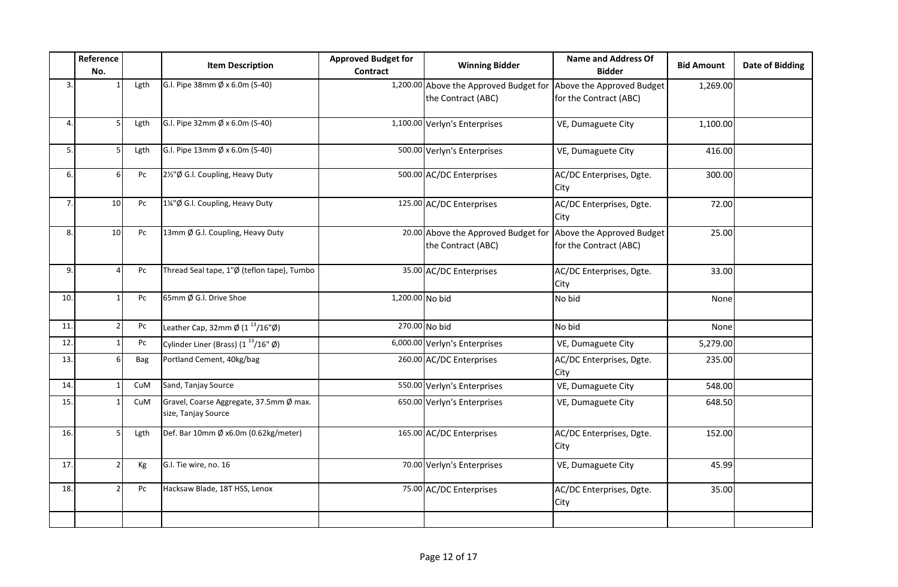|                  | Reference<br>No. |      | <b>Item Description</b>                                               | <b>Approved Budget for</b><br>Contract | <b>Winning Bidder</b>                                        | <b>Name and Address Of</b><br><b>Bidder</b>         | <b>Bid Amount</b> | <b>Date of Bidding</b> |
|------------------|------------------|------|-----------------------------------------------------------------------|----------------------------------------|--------------------------------------------------------------|-----------------------------------------------------|-------------------|------------------------|
| $\overline{3}$ . |                  | Lgth | G.I. Pipe 38mm Ø x 6.0m (S-40)                                        |                                        | 1,200.00 Above the Approved Budget for<br>the Contract (ABC) | Above the Approved Budget<br>for the Contract (ABC) | 1,269.00          |                        |
| $\overline{4}$   |                  | Lgth | G.I. Pipe 32mm Ø x 6.0m (S-40)                                        |                                        | 1,100.00 Verlyn's Enterprises                                | VE, Dumaguete City                                  | 1,100.00          |                        |
| 5.               |                  | Lgth | G.I. Pipe 13mm Ø x 6.0m (S-40)                                        |                                        | 500.00 Verlyn's Enterprises                                  | VE, Dumaguete City                                  | 416.00            |                        |
| 6.               | 6                | Pc   | 2½"Ø G.I. Coupling, Heavy Duty                                        |                                        | 500.00 AC/DC Enterprises                                     | AC/DC Enterprises, Dgte.<br>City                    | 300.00            |                        |
| 7.               | 10 <sup>1</sup>  | Pc   | 1¼"Ø G.I. Coupling, Heavy Duty                                        |                                        | 125.00 AC/DC Enterprises                                     | AC/DC Enterprises, Dgte.<br>City                    | 72.00             |                        |
| 8.               | 10 <sup>1</sup>  | Pc   | 13mm Ø G.I. Coupling, Heavy Duty                                      |                                        | 20.00 Above the Approved Budget for<br>the Contract (ABC)    | Above the Approved Budget<br>for the Contract (ABC) | 25.00             |                        |
| 9.               |                  | Pc   | Thread Seal tape, 1"Ø (teflon tape), Tumbo                            |                                        | 35.00 AC/DC Enterprises                                      | AC/DC Enterprises, Dgte.<br>City                    | 33.00             |                        |
| 10.              |                  | Pc   | 65mm Ø G.I. Drive Shoe                                                | 1,200.00 No bid                        |                                                              | No bid                                              | None              |                        |
| 11.              |                  | Pc   | Leather Cap, 32mm $\varnothing$ (1 <sup>13</sup> /16" $\varnothing$ ) |                                        | 270.00 No bid                                                | No bid                                              | None              |                        |
| 12.              |                  | Pc   | Cylinder Liner (Brass) $(1^{13}/16^{\circ} \emptyset)$                |                                        | 6,000.00 Verlyn's Enterprises                                | VE, Dumaguete City                                  | 5,279.00          |                        |
| 13.              |                  | Bag  | Portland Cement, 40kg/bag                                             |                                        | 260.00 AC/DC Enterprises                                     | AC/DC Enterprises, Dgte.<br>City                    | 235.00            |                        |
| 14.              |                  | CuM  | Sand, Tanjay Source                                                   |                                        | 550.00 Verlyn's Enterprises                                  | VE, Dumaguete City                                  | 548.00            |                        |
| 15.              |                  | CuM  | Gravel, Coarse Aggregate, 37.5mm Ø max.<br>size, Tanjay Source        |                                        | 650.00 Verlyn's Enterprises                                  | VE, Dumaguete City                                  | 648.50            |                        |
| 16.              |                  | Lgth | Def. Bar 10mm Ø x6.0m (0.62kg/meter)                                  |                                        | 165.00 AC/DC Enterprises                                     | AC/DC Enterprises, Dgte.<br>City                    | 152.00            |                        |
| 17.              |                  | Кg   | G.I. Tie wire, no. 16                                                 |                                        | 70.00 Verlyn's Enterprises                                   | VE, Dumaguete City                                  | 45.99             |                        |
| 18.              |                  | Pc   | Hacksaw Blade, 18T HSS, Lenox                                         |                                        | 75.00 AC/DC Enterprises                                      | AC/DC Enterprises, Dgte.<br>City                    | 35.00             |                        |
|                  |                  |      |                                                                       |                                        |                                                              |                                                     |                   |                        |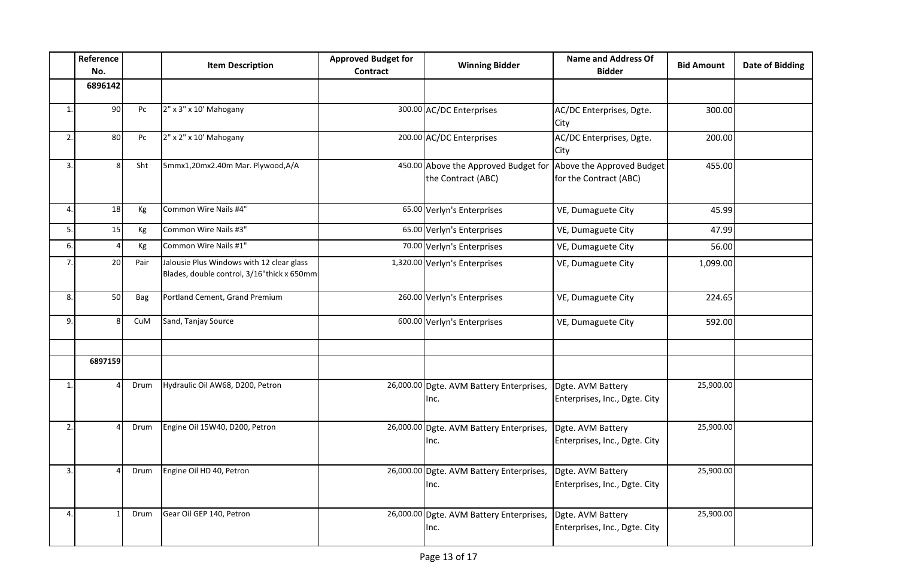|                  | Reference<br>No. |      | <b>Item Description</b>                                                                 | <b>Approved Budget for</b><br>Contract | <b>Winning Bidder</b>                                      | <b>Name and Address Of</b><br><b>Bidder</b>         | <b>Bid Amount</b> | <b>Date of Bidding</b> |
|------------------|------------------|------|-----------------------------------------------------------------------------------------|----------------------------------------|------------------------------------------------------------|-----------------------------------------------------|-------------------|------------------------|
|                  | 6896142          |      |                                                                                         |                                        |                                                            |                                                     |                   |                        |
| $\mathbf{1}$     | 90 <sup>°</sup>  | Pc   | 2" x 3" x 10' Mahogany                                                                  |                                        | 300.00 AC/DC Enterprises                                   | AC/DC Enterprises, Dgte.<br>City                    | 300.00            |                        |
| 2.               | 80               | Pc   | 2" x 2" x 10' Mahogany                                                                  |                                        | 200.00 AC/DC Enterprises                                   | AC/DC Enterprises, Dgte.<br>City                    | 200.00            |                        |
| 3.               | 8                | Sht  | 5mmx1,20mx2.40m Mar. Plywood,A/A                                                        |                                        | 450.00 Above the Approved Budget for<br>the Contract (ABC) | Above the Approved Budget<br>for the Contract (ABC) | 455.00            |                        |
| $\overline{4}$ . | 18               | Kg   | Common Wire Nails #4"                                                                   |                                        | 65.00 Verlyn's Enterprises                                 | VE, Dumaguete City                                  | 45.99             |                        |
| $\overline{5}$ . | 15               | Кg   | Common Wire Nails #3"                                                                   |                                        | 65.00 Verlyn's Enterprises                                 | VE, Dumaguete City                                  | 47.99             |                        |
| 6.               |                  | Kg   | Common Wire Nails #1"                                                                   |                                        | 70.00 Verlyn's Enterprises                                 | VE, Dumaguete City                                  | 56.00             |                        |
| 7.               | 20               | Pair | Jalousie Plus Windows with 12 clear glass<br>Blades, double control, 3/16"thick x 650mm |                                        | 1,320.00 Verlyn's Enterprises                              | VE, Dumaguete City                                  | 1,099.00          |                        |
| 8.               | 50               | Bag  | Portland Cement, Grand Premium                                                          |                                        | 260.00 Verlyn's Enterprises                                | VE, Dumaguete City                                  | 224.65            |                        |
| 9.               |                  | CuM  | Sand, Tanjay Source                                                                     |                                        | 600.00 Verlyn's Enterprises                                | VE, Dumaguete City                                  | 592.00            |                        |
|                  | 6897159          |      |                                                                                         |                                        |                                                            |                                                     |                   |                        |
| $\mathbf{1}$     |                  | Drum | Hydraulic Oil AW68, D200, Petron                                                        |                                        | 26,000.00 Dgte. AVM Battery Enterprises,<br>Inc.           | Dgte. AVM Battery<br>Enterprises, Inc., Dgte. City  | 25,900.00         |                        |
| 2.               |                  | Drum | Engine Oil 15W40, D200, Petron                                                          |                                        | 26,000.00 Dgte. AVM Battery Enterprises,<br>Inc.           | Dgte. AVM Battery<br>Enterprises, Inc., Dgte. City  | 25,900.00         |                        |
| 3.               |                  | Drum | Engine Oil HD 40, Petron                                                                |                                        | 26,000.00 Dgte. AVM Battery Enterprises,<br>Inc.           | Dgte. AVM Battery<br>Enterprises, Inc., Dgte. City  | 25,900.00         |                        |
| $\overline{4}$   |                  | Drum | Gear Oil GEP 140, Petron                                                                |                                        | 26,000.00 Dgte. AVM Battery Enterprises,<br>Inc.           | Dgte. AVM Battery<br>Enterprises, Inc., Dgte. City  | 25,900.00         |                        |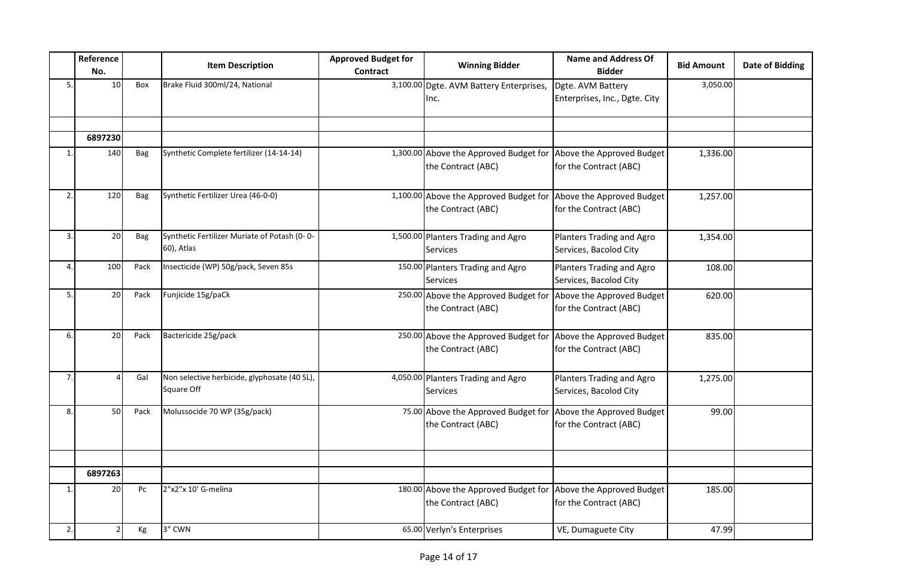|    | Reference<br>No. |            | <b>Item Description</b>                                    | <b>Approved Budget for</b><br>Contract | <b>Winning Bidder</b>                                        | <b>Name and Address Of</b><br><b>Bidder</b>         | <b>Bid Amount</b> | <b>Date of Bidding</b> |
|----|------------------|------------|------------------------------------------------------------|----------------------------------------|--------------------------------------------------------------|-----------------------------------------------------|-------------------|------------------------|
| 5. | 10               | Box        | Brake Fluid 300ml/24, National                             |                                        | 3,100.00 Dgte. AVM Battery Enterprises,<br>Inc.              | Dgte. AVM Battery<br>Enterprises, Inc., Dgte. City  | 3,050.00          |                        |
|    |                  |            |                                                            |                                        |                                                              |                                                     |                   |                        |
|    | 6897230          |            |                                                            |                                        |                                                              |                                                     |                   |                        |
| 1. | 140              | Bag        | Synthetic Complete fertilizer (14-14-14)                   |                                        | 1,300.00 Above the Approved Budget for<br>the Contract (ABC) | Above the Approved Budget<br>for the Contract (ABC) | 1,336.00          |                        |
| 2. | 120              | Bag        | Synthetic Fertilizer Urea (46-0-0)                         |                                        | 1,100.00 Above the Approved Budget for<br>the Contract (ABC) | Above the Approved Budget<br>for the Contract (ABC) | 1,257.00          |                        |
| 3. | 20               | <b>Bag</b> | Synthetic Fertilizer Muriate of Potash (0-0-<br>60), Atlas |                                        | 1,500.00 Planters Trading and Agro<br><b>Services</b>        | Planters Trading and Agro<br>Services, Bacolod City | 1,354.00          |                        |
| 4. | 100              | Pack       | Insecticide (WP) 50g/pack, Seven 85s                       |                                        | 150.00 Planters Trading and Agro<br><b>Services</b>          | Planters Trading and Agro<br>Services, Bacolod City | 108.00            |                        |
| 5. | 20               | Pack       | Funjicide 15g/paCk                                         |                                        | 250.00 Above the Approved Budget for<br>the Contract (ABC)   | Above the Approved Budget<br>for the Contract (ABC) | 620.00            |                        |
| 6. | 20               | Pack       | Bactericide 25g/pack                                       |                                        | 250.00 Above the Approved Budget for<br>the Contract (ABC)   | Above the Approved Budget<br>for the Contract (ABC) | 835.00            |                        |
| 7. |                  | Gal        | Non selective herbicide, glyphosate (40 SL),<br>Square Off |                                        | 4,050.00 Planters Trading and Agro<br>Services               | Planters Trading and Agro<br>Services, Bacolod City | 1,275.00          |                        |
| 8. | 50               | Pack       | Molussocide 70 WP (35g/pack)                               |                                        | 75.00 Above the Approved Budget for<br>the Contract (ABC)    | Above the Approved Budget<br>for the Contract (ABC) | 99.00             |                        |
|    |                  |            |                                                            |                                        |                                                              |                                                     |                   |                        |
|    | 6897263          |            |                                                            |                                        |                                                              |                                                     |                   |                        |
| 1. | 20               | Pc         | 2"x2"x 10' G-melina                                        |                                        | 180.00 Above the Approved Budget for<br>the Contract (ABC)   | Above the Approved Budget<br>for the Contract (ABC) | 185.00            |                        |
| 2. |                  | Кg         | 3" CWN                                                     |                                        | 65.00 Verlyn's Enterprises                                   | VE, Dumaguete City                                  | 47.99             |                        |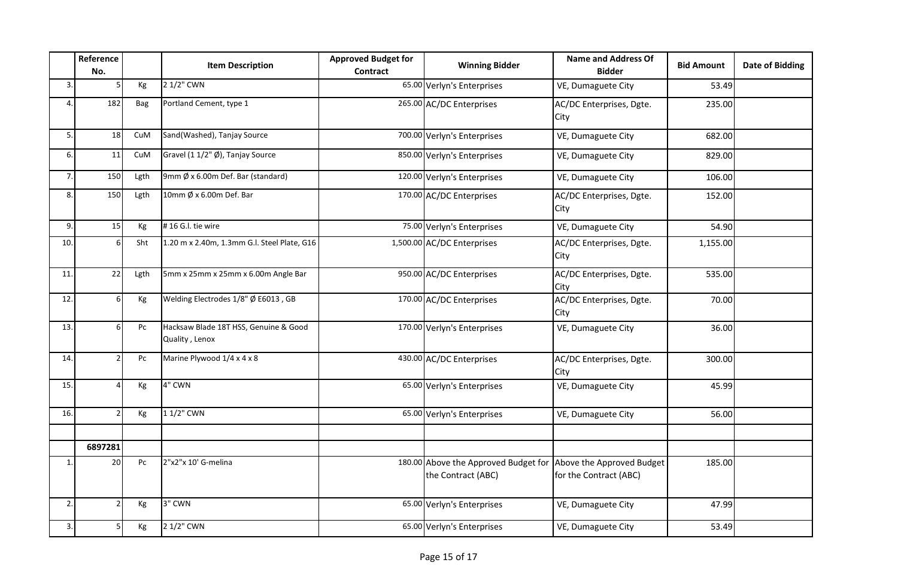|                  | Reference<br>No. |            | <b>Item Description</b>                                 | <b>Approved Budget for</b><br><b>Contract</b> | <b>Winning Bidder</b>                | <b>Name and Address Of</b><br><b>Bidder</b> | <b>Bid Amount</b> | <b>Date of Bidding</b> |
|------------------|------------------|------------|---------------------------------------------------------|-----------------------------------------------|--------------------------------------|---------------------------------------------|-------------------|------------------------|
| 3.               |                  | Кg         | 2 1/2" CWN                                              |                                               | 65.00 Verlyn's Enterprises           | VE, Dumaguete City                          | 53.49             |                        |
| $\overline{4}$ . | 182              | <b>Bag</b> | Portland Cement, type 1                                 |                                               | 265.00 AC/DC Enterprises             | AC/DC Enterprises, Dgte.<br>City            | 235.00            |                        |
| 5.               | 18               | CuM        | Sand(Washed), Tanjay Source                             |                                               | 700.00 Verlyn's Enterprises          | VE, Dumaguete City                          | 682.00            |                        |
| 6.               | 11               | CuM        | Gravel (1 1/2" Ø), Tanjay Source                        |                                               | 850.00 Verlyn's Enterprises          | VE, Dumaguete City                          | 829.00            |                        |
| 7.               | 150              | Lgth       | 9mm Ø x 6.00m Def. Bar (standard)                       |                                               | 120.00 Verlyn's Enterprises          | VE, Dumaguete City                          | 106.00            |                        |
| 8.               | 150              | Lgth       | 10mm Ø x 6.00m Def. Bar                                 |                                               | 170.00 AC/DC Enterprises             | AC/DC Enterprises, Dgte.<br>City            | 152.00            |                        |
| 9.1              | 15               | Кg         | #16 G.I. tie wire                                       |                                               | 75.00 Verlyn's Enterprises           | VE, Dumaguete City                          | 54.90             |                        |
| 10.              | $6 \mid$         | Sht        | 1.20 m x 2.40m, 1.3mm G.l. Steel Plate, G16             |                                               | 1,500.00 AC/DC Enterprises           | AC/DC Enterprises, Dgte.<br>City            | 1,155.00          |                        |
| 11.              | 22               | Lgth       | 5mm x 25mm x 25mm x 6.00m Angle Bar                     |                                               | 950.00 AC/DC Enterprises             | AC/DC Enterprises, Dgte.<br>City            | 535.00            |                        |
| 12.              | 6                | Кg         | Welding Electrodes 1/8" Ø E6013, GB                     |                                               | 170.00 AC/DC Enterprises             | AC/DC Enterprises, Dgte.<br>City            | 70.00             |                        |
| 13.              | 6                | Pc         | Hacksaw Blade 18T HSS, Genuine & Good<br>Quality, Lenox |                                               | 170.00 Verlyn's Enterprises          | VE, Dumaguete City                          | 36.00             |                        |
| 14.              | $\overline{2}$   | Pc         | Marine Plywood 1/4 x 4 x 8                              |                                               | 430.00 AC/DC Enterprises             | AC/DC Enterprises, Dgte.<br>City            | 300.00            |                        |
| 15.              |                  | Kg         | 4" CWN                                                  |                                               | 65.00 Verlyn's Enterprises           | VE, Dumaguete City                          | 45.99             |                        |
| 16.              |                  | Kg         | 1 1/2" CWN                                              |                                               | 65.00 Verlyn's Enterprises           | VE, Dumaguete City                          | 56.00             |                        |
|                  |                  |            |                                                         |                                               |                                      |                                             |                   |                        |
| $\mathbf{1}$ .   | 6897281<br>20    | Pc         | 2"x2"x 10' G-melina                                     |                                               | 180.00 Above the Approved Budget for | Above the Approved Budget                   | 185.00            |                        |
|                  |                  |            |                                                         |                                               | the Contract (ABC)                   | for the Contract (ABC)                      |                   |                        |
| 2.               | $\overline{2}$   | Kg         | 3" CWN                                                  |                                               | 65.00 Verlyn's Enterprises           | VE, Dumaguete City                          | 47.99             |                        |
| 3.               | 5                | Кg         | 2 1/2" CWN                                              |                                               | 65.00 Verlyn's Enterprises           | VE, Dumaguete City                          | 53.49             |                        |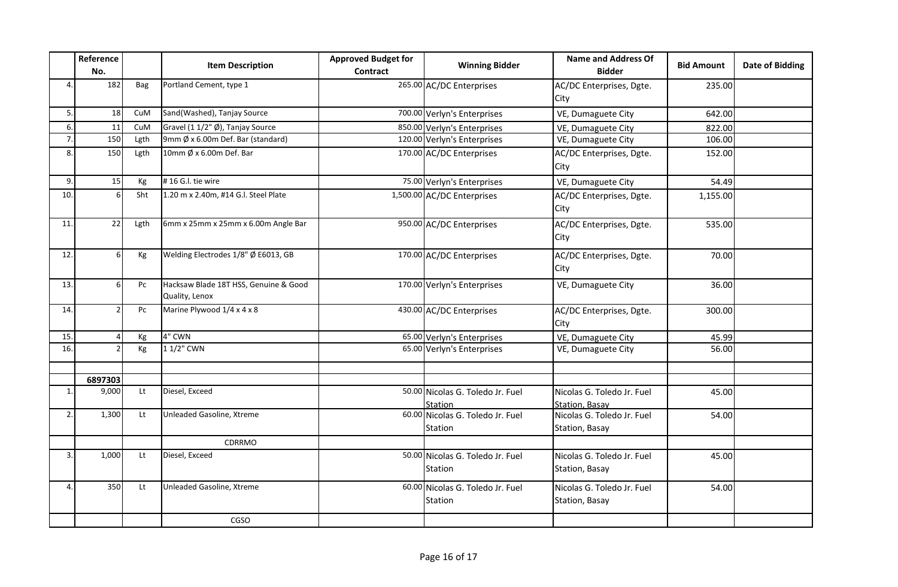|     | Reference<br>No. |      | <b>Item Description</b>                                 | <b>Approved Budget for</b><br><b>Contract</b> | <b>Winning Bidder</b>                       | Name and Address Of<br><b>Bidder</b>                | <b>Bid Amount</b> | <b>Date of Bidding</b> |
|-----|------------------|------|---------------------------------------------------------|-----------------------------------------------|---------------------------------------------|-----------------------------------------------------|-------------------|------------------------|
| 4.  | 182              | Bag  | Portland Cement, type 1                                 |                                               | 265.00 AC/DC Enterprises                    | AC/DC Enterprises, Dgte.<br>City                    | 235.00            |                        |
| 5.  | 18               | CuM  | Sand(Washed), Tanjay Source                             |                                               | 700.00 Verlyn's Enterprises                 | VE, Dumaguete City                                  | 642.00            |                        |
| 6.  | 11               | CuM  | Gravel (1 1/2" Ø), Tanjay Source                        |                                               | 850.00 Verlyn's Enterprises                 | VE, Dumaguete City                                  | 822.00            |                        |
| 7.  | 150              | Lgth | 9mm Ø x 6.00m Def. Bar (standard)                       |                                               | 120.00 Verlyn's Enterprises                 | VE, Dumaguete City                                  | 106.00            |                        |
| 8.  | 150              | Lgth | 10mm Ø x 6.00m Def. Bar                                 |                                               | 170.00 AC/DC Enterprises                    | AC/DC Enterprises, Dgte.<br>City                    | 152.00            |                        |
| 9.  | 15               | Кg   | #16 G.I. tie wire                                       |                                               | 75.00 Verlyn's Enterprises                  | VE, Dumaguete City                                  | 54.49             |                        |
| 10. | 6                | Sht  | 1.20 m x 2.40m, #14 G.l. Steel Plate                    |                                               | 1,500.00 AC/DC Enterprises                  | AC/DC Enterprises, Dgte.<br>City                    | 1,155.00          |                        |
| 11. | 22               | Lgth | 6mm x 25mm x 25mm x 6.00m Angle Bar                     |                                               | 950.00 AC/DC Enterprises                    | AC/DC Enterprises, Dgte.<br>City                    | 535.00            |                        |
| 12. | 6                | Кg   | Welding Electrodes 1/8" Ø E6013, GB                     |                                               | 170.00 AC/DC Enterprises                    | AC/DC Enterprises, Dgte.<br>City                    | 70.00             |                        |
| 13. | 6                | Pc   | Hacksaw Blade 18T HSS, Genuine & Good<br>Quality, Lenox |                                               | 170.00 Verlyn's Enterprises                 | VE, Dumaguete City                                  | 36.00             |                        |
| 14. |                  | Pc   | Marine Plywood 1/4 x 4 x 8                              |                                               | 430.00 AC/DC Enterprises                    | AC/DC Enterprises, Dgte.<br>City                    | 300.00            |                        |
| 15. |                  | Кg   | 4" CWN                                                  |                                               | 65.00 Verlyn's Enterprises                  | VE, Dumaguete City                                  | 45.99             |                        |
| 16. |                  | Kg   | 1 1/2" CWN                                              |                                               | 65.00 Verlyn's Enterprises                  | VE, Dumaguete City                                  | 56.00             |                        |
|     | 6897303          |      |                                                         |                                               |                                             |                                                     |                   |                        |
| 1.  | 9,000            | Lt   | Diesel, Exceed                                          |                                               | 50.00 Nicolas G. Toledo Jr. Fuel<br>Station | Nicolas G. Toledo Jr. Fuel<br><b>Station, Basay</b> | 45.00             |                        |
| 2.  | 1,300            | Lt   | Unleaded Gasoline, Xtreme                               |                                               | 60.00 Nicolas G. Toledo Jr. Fuel<br>Station | Nicolas G. Toledo Jr. Fuel<br>Station, Basay        | 54.00             |                        |
|     |                  |      | CDRRMO                                                  |                                               |                                             |                                                     |                   |                        |
| 3.  | 1,000            | Lt   | Diesel, Exceed                                          |                                               | 50.00 Nicolas G. Toledo Jr. Fuel<br>Station | Nicolas G. Toledo Jr. Fuel<br>Station, Basay        | 45.00             |                        |
| 4.  | 350              | Lt   | Unleaded Gasoline, Xtreme                               |                                               | 60.00 Nicolas G. Toledo Jr. Fuel<br>Station | Nicolas G. Toledo Jr. Fuel<br>Station, Basay        | 54.00             |                        |
|     |                  |      | CGSO                                                    |                                               |                                             |                                                     |                   |                        |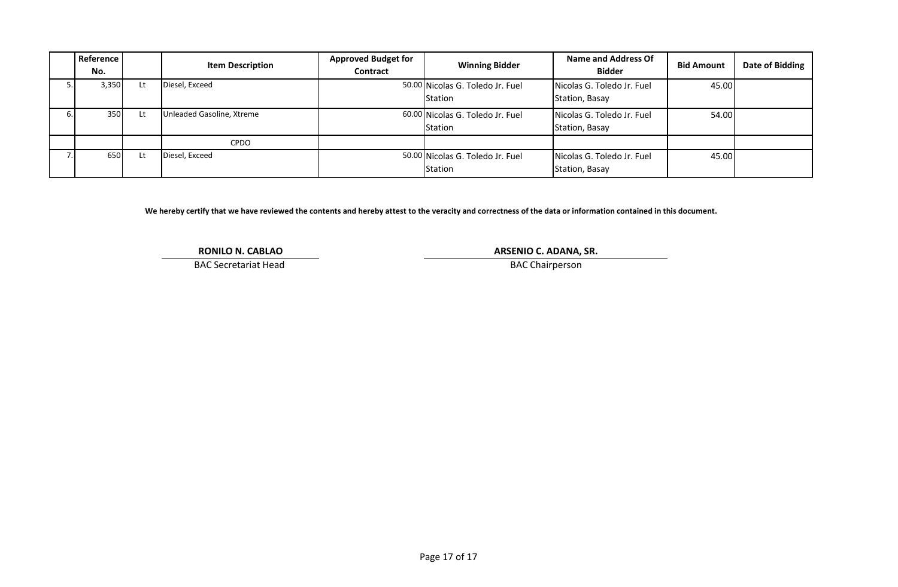|            | Reference<br>No. |    | <b>Item Description</b>   | <b>Approved Budget for</b><br>Contract | <b>Winning Bidder</b>                              | Name and Address Of<br><b>Bidder</b>         | <b>Bid Amount</b> | Date of Bidding |
|------------|------------------|----|---------------------------|----------------------------------------|----------------------------------------------------|----------------------------------------------|-------------------|-----------------|
|            | 3,350            | Lt | Diesel, Exceed            |                                        | 50.00 Nicolas G. Toledo Jr. Fuel<br><b>Station</b> | Nicolas G. Toledo Jr. Fuel<br>Station, Basay | 45.00             |                 |
| <b>b.I</b> | 350              | Lt | Unleaded Gasoline, Xtreme |                                        | 60.00 Nicolas G. Toledo Jr. Fuel<br><b>Station</b> | Nicolas G. Toledo Jr. Fuel<br>Station, Basay | 54.00             |                 |
|            |                  |    | <b>CPDO</b>               |                                        |                                                    |                                              |                   |                 |
|            | 650              | Lt | Diesel, Exceed            |                                        | 50.00 Nicolas G. Toledo Jr. Fuel<br><b>Station</b> | Nicolas G. Toledo Jr. Fuel<br>Station, Basay | 45.00             |                 |

**We hereby certify that we have reviewed the contents and hereby attest to the veracity and correctness of the data or information contained in this document.**

**RONILO N. CABLAO**

BAC Secretariat Head

**ARSENIO C. ADANA, SR.**

BAC Chairperson